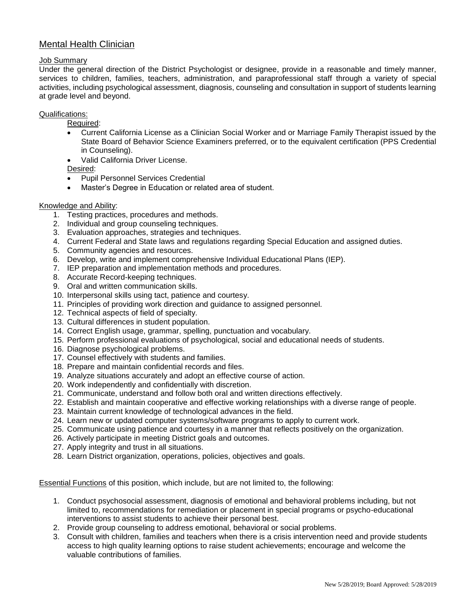# Mental Health Clinician

#### Job Summary

Under the general direction of the District Psychologist or designee, provide in a reasonable and timely manner, services to children, families, teachers, administration, and paraprofessional staff through a variety of special activities, including psychological assessment, diagnosis, counseling and consultation in support of students learning at grade level and beyond.

#### Qualifications:

Required:

- Current California License as a Clinician Social Worker and or Marriage Family Therapist issued by the State Board of Behavior Science Examiners preferred, or to the equivalent certification (PPS Credential in Counseling).
- Valid California Driver License.

Desired:

- Pupil Personnel Services Credential
- Master's Degree in Education or related area of student.

### Knowledge and Ability:

- 1. Testing practices, procedures and methods.
- 2. Individual and group counseling techniques.
- 3. Evaluation approaches, strategies and techniques.
- 4. Current Federal and State laws and regulations regarding Special Education and assigned duties.
- 5. Community agencies and resources.
- 6. Develop, write and implement comprehensive Individual Educational Plans (IEP).
- 7. IEP preparation and implementation methods and procedures.
- 8. Accurate Record-keeping techniques.
- 9. Oral and written communication skills.
- 10. Interpersonal skills using tact, patience and courtesy.
- 11. Principles of providing work direction and guidance to assigned personnel.
- 12. Technical aspects of field of specialty.
- 13. Cultural differences in student population.
- 14. Correct English usage, grammar, spelling, punctuation and vocabulary.
- 15. Perform professional evaluations of psychological, social and educational needs of students.
- 16. Diagnose psychological problems.
- 17. Counsel effectively with students and families.
- 18. Prepare and maintain confidential records and files.
- 19. Analyze situations accurately and adopt an effective course of action.
- 20. Work independently and confidentially with discretion.
- 21. Communicate, understand and follow both oral and written directions effectively.
- 22. Establish and maintain cooperative and effective working relationships with a diverse range of people.
- 23. Maintain current knowledge of technological advances in the field.
- 24. Learn new or updated computer systems/software programs to apply to current work.
- 25. Communicate using patience and courtesy in a manner that reflects positively on the organization.
- 26. Actively participate in meeting District goals and outcomes.
- 27. Apply integrity and trust in all situations.
- 28. Learn District organization, operations, policies, objectives and goals.

Essential Functions of this position, which include, but are not limited to, the following:

- 1. Conduct psychosocial assessment, diagnosis of emotional and behavioral problems including, but not limited to, recommendations for remediation or placement in special programs or psycho-educational interventions to assist students to achieve their personal best.
- 2. Provide group counseling to address emotional, behavioral or social problems.
- 3. Consult with children, families and teachers when there is a crisis intervention need and provide students access to high quality learning options to raise student achievements; encourage and welcome the valuable contributions of families.